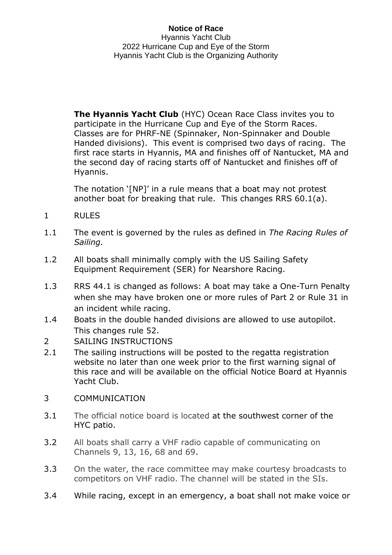**The Hyannis Yacht Club** (HYC) Ocean Race Class invites you to participate in the Hurricane Cup and Eye of the Storm Races. Classes are for PHRF-NE (Spinnaker, Non-Spinnaker and Double Handed divisions). This event is comprised two days of racing. The first race starts in Hyannis, MA and finishes off of Nantucket, MA and the second day of racing starts off of Nantucket and finishes off of Hyannis.

The notation '[NP]' in a rule means that a boat may not protest another boat for breaking that rule. This changes RRS 60.1(a).

- 1 RULES
- 1.1 The event is governed by the rules as defined in *The Racing Rules of Sailing.*
- 1.2 All boats shall minimally comply with the US Sailing Safety Equipment Requirement (SER) for Nearshore Racing.
- 1.3 RRS 44.1 is changed as follows: A boat may take a One-Turn Penalty when she may have broken one or more rules of Part 2 or Rule 31 in an incident while racing.
- 1.4 Boats in the double handed divisions are allowed to use autopilot. This changes rule 52.
- 2 SAILING INSTRUCTIONS
- 2.1 The sailing instructions will be posted to the regatta registration website no later than one week prior to the first warning signal of this race and will be available on the official Notice Board at Hyannis Yacht Club.
- 3 COMMUNICATION
- 3.1 The official notice board is located at [the](https://hyannisyachtclub.org/racing) southwest corner of the HYC patio.
- 3.2 All boats shall carry a VHF radio capable of communicating on Channels 9, 13, 16, 68 and 69.
- 3.3 On the water, the race committee may make courtesy broadcasts to competitors on VHF radio. The channel will be stated in the SIs.
- 3.4 While racing, except in an emergency, a boat shall not make voice or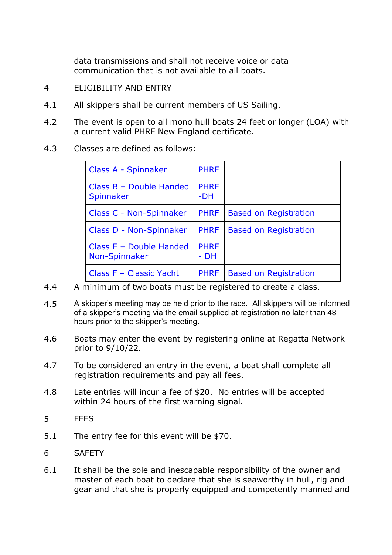data transmissions and shall not receive voice or data communication that is not available to all boats.

- 4 ELIGIBILITY AND ENTRY
- 4.1 All skippers shall be current members of US Sailing.
- 4.2 The event is open to all mono hull boats 24 feet or longer (LOA) with a current valid PHRF New England certificate.
- 4.3 Classes are defined as follows:

| Class A - Spinnaker                        | <b>PHRF</b>         |                              |
|--------------------------------------------|---------------------|------------------------------|
| Class $B - Double Handed$<br>Spinnaker     | <b>PHRF</b><br>-DH  |                              |
| Class C - Non-Spinnaker                    | <b>PHRF</b>         | <b>Based on Registration</b> |
| Class D - Non-Spinnaker                    | <b>PHRF</b>         | <b>Based on Registration</b> |
| Class $E - Double Handed$<br>Non-Spinnaker | <b>PHRF</b><br>- DH |                              |
| Class F - Classic Yacht                    | <b>PHRF</b>         | <b>Based on Registration</b> |

- 4.4 A minimum of two boats must be registered to create a class.
- 4.5 A skipper's meeting may be held prior to the race. All skippers will be informed of a skipper's meeting via the email supplied at registration no later than 48 hours prior to the skipper's meeting.
- 4.6 Boats may enter the event by registering online at Regatta Network prior to 9/10/22.
- 4.7 To be considered an entry in the event, a boat shall complete all registration requirements and pay all fees.
- 4.8 Late entries will incur a fee of \$20. No entries will be accepted within 24 hours of the first warning signal.
- 5 FEES
- 5.1 The entry fee for this event will be \$70.
- 6 SAFETY
- 6.1 It shall be the sole and inescapable responsibility of the owner and master of each boat to declare that she is seaworthy in hull, rig and gear and that she is properly equipped and competently manned and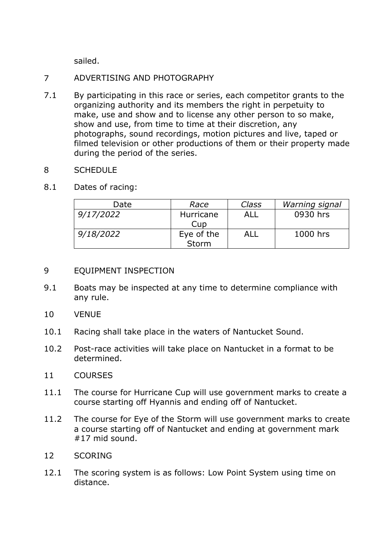sailed.

# 7 ADVERTISING AND PHOTOGRAPHY

7.1 By participating in this race or series, each competitor grants to the organizing authority and its members the right in perpetuity to make, use and show and to license any other person to so make, show and use, from time to time at their discretion, any photographs, sound recordings, motion pictures and live, taped or filmed television or other productions of them or their property made during the period of the series.

## 8 SCHEDULE

8.1 Dates of racing:

| Date      | Race                | Class | Warning signal |
|-----------|---------------------|-------|----------------|
| 9/17/2022 | Hurricane<br>Cup    | ALL   | 0930 hrs       |
| 9/18/2022 | Eye of the<br>Storm | ALL   | 1000 hrs       |

## 9 EQUIPMENT INSPECTION

- 9.1 Boats may be inspected at any time to determine compliance with any rule.
- 10 VENUE
- 10.1 Racing shall take place in the waters of Nantucket Sound.
- 10.2 Post-race activities will take place on Nantucket in a format to be determined.

## 11 COURSES

- 11.1 The course for Hurricane Cup will use government marks to create a course starting off Hyannis and ending off of Nantucket.
- 11.2 The course for Eye of the Storm will use government marks to create a course starting off of Nantucket and ending at government mark #17 mid sound.
- 12 SCORING
- 12.1 The scoring system is as follows: Low Point System using time on distance.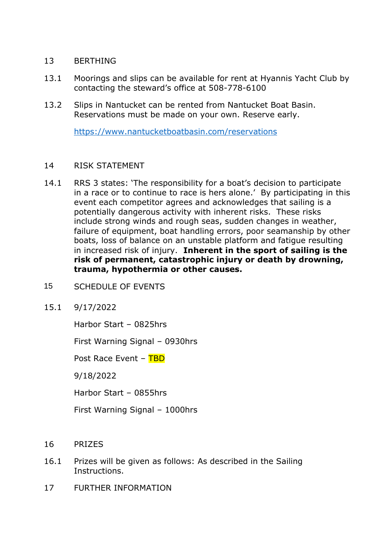#### 13 BERTHING

- 13.1 Moorings and slips can be available for rent at Hyannis Yacht Club by contacting the steward's office at 508-778-6100
- 13.2 Slips in Nantucket can be rented from Nantucket Boat Basin. Reservations must be made on your own. Reserve early.

<https://www.nantucketboatbasin.com/reservations>

#### 14 RISK STATEMENT

- 14.1 RRS 3 states: 'The responsibility for a boat's decision to participate in a race or to continue to race is hers alone.' By participating in this event each competitor agrees and acknowledges that sailing is a potentially dangerous activity with inherent risks. These risks include strong winds and rough seas, sudden changes in weather, failure of equipment, boat handling errors, poor seamanship by other boats, loss of balance on an unstable platform and fatigue resulting in increased risk of injury. **Inherent in the sport of sailing is the risk of permanent, catastrophic injury or death by drowning, trauma, hypothermia or other causes.**
- 15 SCHEDULE OF EVENTS
- 15.1 9/17/2022

Harbor Start – 0825hrs

First Warning Signal – 0930hrs

Post Race Event – TBD

9/18/2022

Harbor Start – 0855hrs

First Warning Signal – 1000hrs

- 16 PRIZES
- 16.1 Prizes will be given as follows: As described in the Sailing Instructions.
- 17 FURTHER INFORMATION